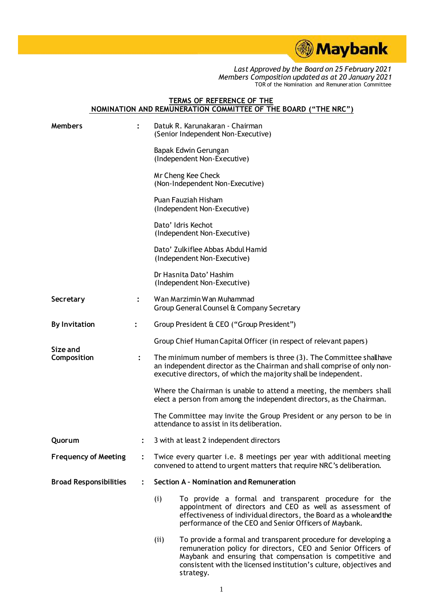

## **TERMS OF REFERENCE OF THE NOMINATION AND REMUNERATION COMMITTEE OF THE BOARD ("THE NRC")**

| <b>Members</b>                |                | Datuk R. Karunakaran - Chairman<br>(Senior Independent Non-Executive)                                                                                                                                                                                                                  |
|-------------------------------|----------------|----------------------------------------------------------------------------------------------------------------------------------------------------------------------------------------------------------------------------------------------------------------------------------------|
|                               |                | Bapak Edwin Gerungan<br>(Independent Non-Executive)                                                                                                                                                                                                                                    |
|                               |                | Mr Cheng Kee Check<br>(Non-Independent Non-Executive)                                                                                                                                                                                                                                  |
|                               |                | Puan Fauziah Hisham<br>(Independent Non-Executive)                                                                                                                                                                                                                                     |
|                               |                | Dato' Idris Kechot<br>(Independent Non-Executive)                                                                                                                                                                                                                                      |
|                               |                | Dato' Zulkiflee Abbas Abdul Hamid<br>(Independent Non-Executive)                                                                                                                                                                                                                       |
|                               |                | Dr Hasnita Dato' Hashim<br>(Independent Non-Executive)                                                                                                                                                                                                                                 |
| Secretary                     |                | Wan Marzimin Wan Muhammad<br>Group General Counsel & Company Secretary                                                                                                                                                                                                                 |
| <b>By Invitation</b>          | $\ddot{\cdot}$ | Group President & CEO ("Group President")                                                                                                                                                                                                                                              |
|                               |                | Group Chief Human Capital Officer (in respect of relevant papers)                                                                                                                                                                                                                      |
| Size and<br>Composition       | $\ddot{\cdot}$ | The minimum number of members is three (3). The Committee shall have<br>an independent director as the Chairman and shall comprise of only non-<br>executive directors, of which the majority shall be independent.                                                                    |
|                               |                | Where the Chairman is unable to attend a meeting, the members shall<br>elect a person from among the independent directors, as the Chairman.                                                                                                                                           |
|                               |                | The Committee may invite the Group President or any person to be in<br>attendance to assist in its deliberation.                                                                                                                                                                       |
| Quorum                        |                | 3 with at least 2 independent directors                                                                                                                                                                                                                                                |
| <b>Frequency of Meeting</b>   |                | Twice every quarter i.e. 8 meetings per year with additional meeting<br>convened to attend to urgent matters that require NRC's deliberation.                                                                                                                                          |
| <b>Broad Responsibilities</b> |                | Section A - Nomination and Remuneration                                                                                                                                                                                                                                                |
|                               |                | To provide a formal and transparent procedure for the<br>(i)<br>appointment of directors and CEO as well as assessment of<br>effectiveness of individual directors, the Board as a whole and the<br>performance of the CEO and Senior Officers of Maybank.                             |
|                               |                | To provide a formal and transparent procedure for developing a<br>(i)<br>remuneration policy for directors, CEO and Senior Officers of<br>Maybank and ensuring that compensation is competitive and<br>consistent with the licensed institution's culture, objectives and<br>strategy. |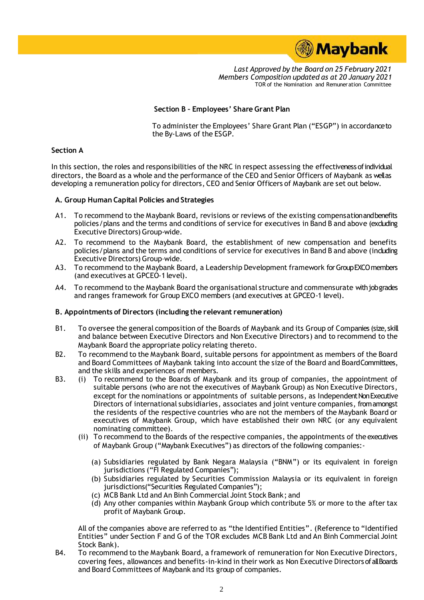

## **Section B – Employees' Share Grant Plan**

To administer the Employees' Share Grant Plan ("ESGP") in accordance to the By-Laws of the ESGP.

## **Section A**

In this section, the roles and responsibilities of the NRC in respect assessing the effectiveness of individual directors, the Board as a whole and the performance of the CEO and Senior Officers of Maybank as wellas developing a remuneration policy for directors, CEO and Senior Officers of Maybank are set out below.

#### **A. Group Human Capital Policies and Strategies**

- A1. To recommend to the Maybank Board, revisions or reviews of the existing compensation and benefits policies/plans and the terms and conditions of service for executives in Band B and above (excluding Executive Directors) Group-wide.
- A2. To recommend to the Maybank Board, the establishment of new compensation and benefits policies/plans and the terms and conditions of service for executives in Band B and above (including Executive Directors) Group–wide.
- A3. To recommend to the Maybank Board, a Leadership Development framework for Group EXCO members (and executives at GPCEO-1 level).
- A4. To recommend to the Maybank Board the organisational structure and commensurate with job grades and ranges framework for Group EXCO members (and executives at GPCEO-1 level).

#### **B. Appointments of Directors (including the relevant remuneration)**

- B1. To oversee the general composition of the Boards of Maybank and its Group of Companies (size, skill and balance between Executive Directors and Non Executive Directors) and to recommend to the Maybank Board the appropriate policy relating thereto.
- B2. To recommend to the Maybank Board, suitable persons for appointment as members of the Board and Board Committees of Maybank taking into account the size of the Board and Board Committees, and the skills and experiences of members.
- B3. (i) To recommend to the Boards of Maybank and its group of companies, the appointment of suitable persons (who are not the executives of Maybank Group) as Non Executive Directors, except for the nominations or appointments of suitable persons, as Independent Non Executive Directors of international subsidiaries, associates and joint venture companies, from amongst the residents of the respective countries who are not the members of the Maybank Board or executives of Maybank Group, which have established their own NRC (or any equivalent nominating committee).
	- (ii) To recommend to the Boards of the respective companies, the appointments of the executives of Maybank Group ("Maybank Executives") as directors of the following companies:-
		- (a) Subsidiaries regulated by Bank Negara Malaysia ("BNM") or its equivalent in foreign jurisdictions ("FI Regulated Companies");
		- (b) Subsidiaries regulated by Securities Commission Malaysia or its equivalent in foreign jurisdictions("Securities Regulated Companies");
		- (c) MCB Bank Ltd and An Binh Commercial Joint Stock Bank; and
		- (d) Any other companies within Maybank Group which contribute 5% or more to the after tax profit of Maybank Group.

All of the companies above are referred to as "the Identified Entities". (Reference to "Identified Entities" under Section F and G of the TOR excludes MCB Bank Ltd and An Binh Commercial Joint Stock Bank).

B4. To recommend to the Maybank Board, a framework of remuneration for Non Executive Directors, covering fees, allowances and benefits-in-kind in their work as Non Executive Directors of all Boards and Board Committees of Maybank and its group of companies.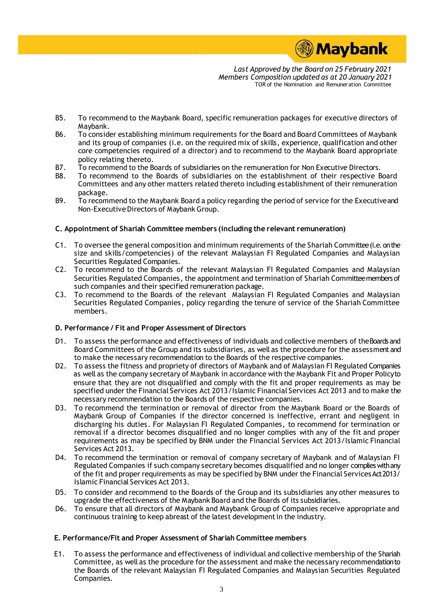

- B5. To recommend to the Maybank Board, specific remuneration packages for executive directors of Maybank.
- B6. To consider establishing minimum requirements for the Board and Board Committees of Maybank and its group of companies (i.e. on the required mix of skills, experience, qualification and other core competencies required of a director) and to recommend to the Maybank Board appropriate policy relating thereto.
- B7. To recommend to the Boards of subsidiaries on the remuneration for Non Executive Directors.
- B8. To recommend to the Boards of subsidiaries on the establishment of their respective Board Committees and any other matters related thereto including establishment of their remuneration package.
- B9. To recommend to the Maybank Board a policy regarding the period of service for the Executive and Non-Executive Directors of Maybank Group.

## **C. Appointment of Shariah Committee members (including the relevant remuneration)**

- C1. To oversee the general composition and minimum requirements of the Shariah Committee (i.e. on the size and skills/competencies) of the relevant Malaysian FI Regulated Companies and Malaysian Securities Regulated Companies.
- C2. To recommend to the Boards of the relevant Malaysian FI Regulated Companies and Malaysian Securities Regulated Companies, the appointment and termination of Shariah Committee members of such companies and their specified remuneration package.
- C3. To recommend to the Boards of the relevant Malaysian FI Regulated Companies and Malaysian Securities Regulated Companies, policy regarding the tenure of service of the Shariah Committee members.

#### **D. Performance / Fit and Proper Assessment of Directors**

- D1. To assess the performance and effectiveness of individuals and collective members of the Boards and Board Committees of the Group and its subsidiaries, as well as the procedure for the assessment and to make the necessary recommendation to the Boards of the respective companies.
- D2. To assess the fitness and propriety of directors of Maybank and of Malaysian FI Regulated Companies as well as the company secretary of Maybank in accordance with the Maybank Fit and Proper Policy to ensure that they are not disqualified and comply with the fit and proper requirements as may be specified under the Financial Services Act 2013/Islamic Financial Services Act 2013 and to make the necessary recommendation to the Boards of the respective companies.
- D3. To recommend the termination or removal of director from the Maybank Board or the Boards of Maybank Group of Companies if the director concerned is ineffective, errant and negligent in discharging his duties. For Malaysian FI Regulated Companies, to recommend for termination or removal if a director becomes disqualified and no longer complies with any of the fit and proper requirements as may be specified by BNM under the Financial Services Act 2013/Islamic Financial Services Act 2013.
- D4. To recommend the termination or removal of company secretary of Maybank and of Malaysian FI Regulated Companies if such company secretary becomes disqualified and no longer complieswith any of the fit and proper requirements as may be specified by BNM under the Financial Services Act 2013/ Islamic Financial Services Act 2013.
- D5. To consider and recommend to the Boards of the Group and its subsidiaries any other measures to upgrade the effectiveness of the Maybank Board and the Boards of its subsidiaries.
- D6. To ensure that all directors of Maybank and Maybank Group of Companies receive appropriate and continuous training to keep abreast of the latest development in the industry.

## **E. Performance/Fit and Proper Assessment of Shariah Committee members**

E1. To assess the performance and effectiveness of individual and collective membership of the Shariah Committee, as well as the procedure for the assessment and make the necessary recommendation to the Boards of the relevant Malaysian FI Regulated Companies and Malaysian Securities Regulated Companies.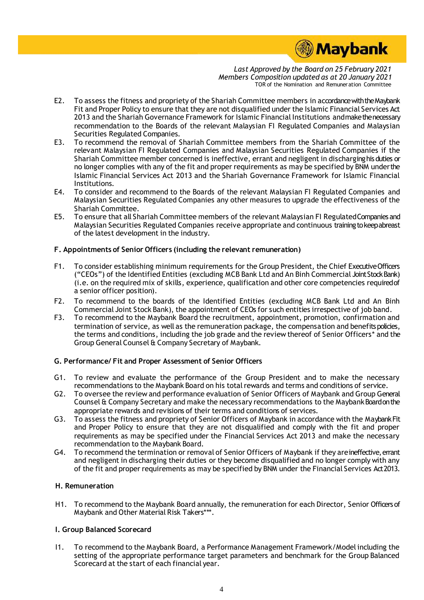

- E2. To assess the fitness and propriety of the Shariah Committee members in accordance with the Maybank Fit and Proper Policy to ensure that they are not disqualified under the Islamic Financial Services Act 2013 and the Shariah Governance Framework for Islamic Financial Institutions and make the necessary recommendation to the Boards of the relevant Malaysian FI Regulated Companies and Malaysian Securities Regulated Companies.
- E3. To recommend the removal of Shariah Committee members from the Shariah Committee of the relevant Malaysian FI Regulated Companies and Malaysian Securities Regulated Companies if the Shariah Committee member concerned is ineffective, errant and negligent in discharging his duties or no longer complies with any of the fit and proper requirements as may be specified by BNM under the Islamic Financial Services Act 2013 and the Shariah Governance Framework for Islamic Financial Institutions.
- E4. To consider and recommend to the Boards of the relevant Malaysian FI Regulated Companies and Malaysian Securities Regulated Companies any other measures to upgrade the effectiveness of the Shariah Committee.
- E5. To ensure that all Shariah Committee members of the relevant Malaysian FI Regulated Companies and Malaysian Securities Regulated Companies receive appropriate and continuous training to keep abreast of the latest development in the industry.

## **F. Appointments of Senior Officers (including the relevant remuneration)**

- F1. To consider establishing minimum requirements for the Group President, the Chief Executive Officers ("CEOs") of the Identified Entities (excluding MCB Bank Ltd and An Binh Commercial Joint Stock Bank) (i.e. on the required mix of skills, experience, qualification and other core competencies required of a senior officer position).
- F2. To recommend to the boards of the Identified Entities (excluding MCB Bank Ltd and An Binh Commercial Joint Stock Bank), the appointment of CEOs for such entities irrespective of job band.
- F3. To recommend to the Maybank Board the recruitment, appointment, promotion, confirmation and termination of service, as well as the remuneration package, the compensation and benefits policies, the terms and conditions, including the job grade and the review thereof of Senior Officers\* and the Group General Counsel & Company Secretary of Maybank.

## **G. Performance/ Fit and Proper Assessment of Senior Officers**

- G1. To review and evaluate the performance of the Group President and to make the necessary recommendations to the Maybank Board on his total rewards and terms and conditions of service.
- G2. To oversee the review and performance evaluation of Senior Officers of Maybank and Group General Counsel & Company Secretary and make the necessary recommendations to the Maybank Board on the appropriate rewards and revisions of their terms and conditions of services.
- G3. To assess the fitness and propriety of Senior Officers of Maybank in accordance with the Maybank Fit and Proper Policy to ensure that they are not disqualified and comply with the fit and proper requirements as may be specified under the Financial Services Act 2013 and make the necessary recommendation to the Maybank Board.
- G4. To recommend the termination or removal of Senior Officers of Maybank if they are ineffective, errant and negligent in discharging their duties or they become disqualified and no longer comply with any of the fit and proper requirements as may be specified by BNM under the Financial Services Act 2013.

## **H. Remuneration**

H1. To recommend to the Maybank Board annually, the remuneration for each Director, Senior Officers of Maybank and Other Material Risk Takers\*\*\*.

## **I. Group Balanced Scorecard**

I1. To recommend to the Maybank Board, a Performance Management Framework/Model including the setting of the appropriate performance target parameters and benchmark for the Group Balanced Scorecard at the start of each financial year.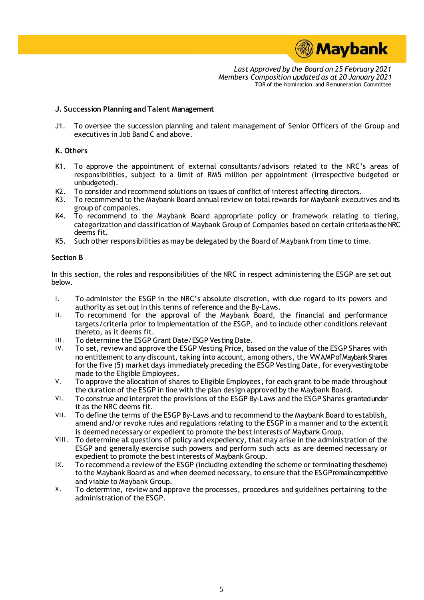

## **J. Succession Planning and Talent Management**

J1. To oversee the succession planning and talent management of Senior Officers of the Group and executives in Job Band C and above.

## **K. Others**

- K1. To approve the appointment of external consultants/advisors related to the NRC's areas of responsibilities, subject to a limit of RM5 million per appointment (irrespective budgeted or unbudgeted).
- K2. To consider and recommend solutions on issues of conflict of interest affecting directors.<br>K3. To recommend to the Maybank Board annual review on total rewards for Maybank execution
- To recommend to the Maybank Board annual review on total rewards for Maybank executives and its group of companies.
- K4. To recommend to the Maybank Board appropriate policy or framework relating to tiering, categorization and classification of Maybank Group of Companies based on certain criteria as theNRC deems fit.
- K5. Such other responsibilities as may be delegated by the Board of Maybank from time to time.

## **Section B**

In this section, the roles and responsibilities of the NRC in respect administering the ESGP are set out below.

- I. To administer the ESGP in the NRC's absolute discretion, with due regard to its powers and authority as set out in this terms of reference and the By-Laws.
- II. To recommend for the approval of the Maybank Board, the financial and performance targets/criteria prior to implementation of the ESGP, and to include other conditions relevant thereto, as it deems fit.
- III. To determine the ESGP Grant Date/ESGP Vesting Date.
- IV. To set, review and approve the ESGP Vesting Price, based on the value of the ESGP Shares with no entitlement to any discount, taking into account, among others, the VWAMPof Maybank Shares for the five (5) market days immediately preceding the ESGP Vesting Date, for every vesting to be made to the Eligible Employees.
- V. To approve the allocation of shares to Eligible Employees, for each grant to be made throughout the duration of the ESGP in line with the plan design approved by the Maybank Board.
- VI. To construe and interpret the provisions of the ESGP By-Laws and the ESGP Shares granted under it as the NRC deems fit.
- VII. To define the terms of the ESGP By-Laws and to recommend to the Maybank Board to establish, amend and/or revoke rules and regulations relating to the ESGP in a manner and to the extentit is deemed necessary or expedient to promote the best interests of Maybank Group.
- VIII. To determine all questions of policy and expediency, that may arise in the administration of the ESGP and generally exercise such powers and perform such acts as are deemed necessary or expedient to promote the best interests of Maybank Group.
- IX. To recommend a review of the ESGP (including extending the scheme or terminating the scheme) to the Maybank Board as and when deemed necessary, to ensure that the ESGP remain competitive and viable to Maybank Group.
- X. To determine, review and approve the processes, procedures and guidelines pertaining to the administration of the ESGP.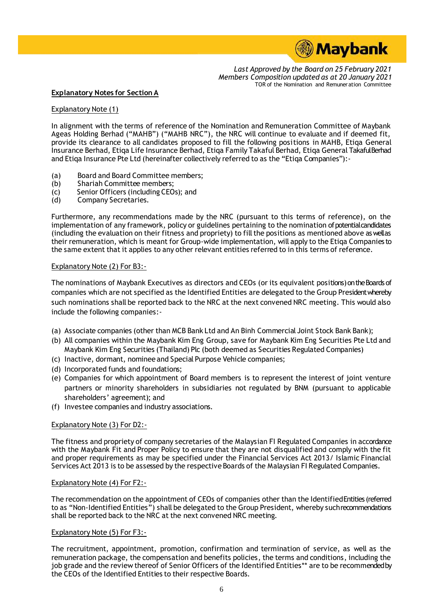

## **Explanatory Notes for Section A**

## Explanatory Note (1)

In alignment with the terms of reference of the Nomination and Remuneration Committee of Maybank Ageas Holding Berhad ("MAHB") ("MAHB NRC"), the NRC will continue to evaluate and if deemed fit, provide its clearance to all candidates proposed to fill the following positions in MAHB, Etiqa General Insurance Berhad, Etiqa Life Insurance Berhad, Etiqa Family Takaful Berhad, Etiqa General Takaful Berhad and Etiqa Insurance Pte Ltd (hereinafter collectively referred to as the "Etiqa Companies"):-

- (a) Board and Board Committee members;
- (b) Shariah Committee members;
- (c) Senior Officers (including CEOs); and<br>(d) Company Secretaries.
- Company Secretaries.

Furthermore, any recommendations made by the NRC (pursuant to this terms of reference), on the implementation of any framework, policy or guidelines pertaining to the nomination of potential candidates (including the evaluation on their fitness and propriety) to fill the positions as mentioned above as well as their remuneration, which is meant for Group-wide implementation, will apply to the Etiqa Companies to the same extent that it applies to any other relevant entities referred to in this terms of reference.

## Explanatory Note (2) For B3:-

The nominations of Maybank Executives as directors and CEOs (or its equivalent positions) on the Boards of companies which are not specified as the Identified Entities are delegated to the Group President whereby such nominations shall be reported back to the NRC at the next convened NRC meeting. This would also include the following companies:-

- (a) Associate companies (other than MCB Bank Ltd and An Binh Commercial Joint Stock Bank Bank);
- (b) All companies within the Maybank Kim Eng Group, save for Maybank Kim Eng Securities Pte Ltd and Maybank Kim Eng Securities (Thailand) Plc (both deemed as Securities Regulated Companies)
- (c) Inactive, dormant, nominee and Special Purpose Vehicle companies;
- (d) Incorporated funds and foundations;
- (e) Companies for which appointment of Board members is to represent the interest of joint venture partners or minority shareholders in subsidiaries not regulated by BNM (pursuant to applicable shareholders' agreement); and
- (f) Investee companies and industry associations.

#### Explanatory Note (3) For D2:-

The fitness and propriety of company secretaries of the Malaysian FI Regulated Companies in accordance with the Maybank Fit and Proper Policy to ensure that they are not disqualified and comply with the fit and proper requirements as may be specified under the Financial Services Act 2013/ Islamic Financial Services Act 2013 is to be assessed by the respective Boards of the Malaysian FI Regulated Companies.

#### Explanatory Note (4) For F2:-

The recommendation on the appointment of CEOs of companies other than the Identified Entities (referred to as "Non-Identified Entities") shall be delegated to the Group President, whereby such recommendations shall be reported back to the NRC at the next convened NRC meeting.

#### Explanatory Note (5) For F3:-

The recruitment, appointment, promotion, confirmation and termination of service, as well as the remuneration package, the compensation and benefits policies, the terms and conditions, including the job grade and the review thereof of Senior Officers of the Identified Entities\*\* are to be recommended by the CEOs of the Identified Entities to their respective Boards.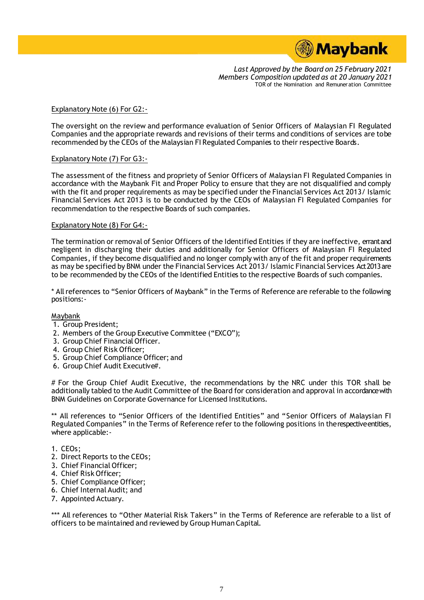

## Explanatory Note (6) For G2:-

The oversight on the review and performance evaluation of Senior Officers of Malaysian FI Regulated Companies and the appropriate rewards and revisions of their terms and conditions of services are to be recommended by the CEOs of the Malaysian FI Regulated Companies to their respective Boards.

## Explanatory Note (7) For G3:-

The assessment of the fitness and propriety of Senior Officers of Malaysian FI Regulated Companies in accordance with the Maybank Fit and Proper Policy to ensure that they are not disqualified and comply with the fit and proper requirements as may be specified under the Financial Services Act 2013/ Islamic Financial Services Act 2013 is to be conducted by the CEOs of Malaysian FI Regulated Companies for recommendation to the respective Boards of such companies.

#### Explanatory Note (8) For G4:-

The termination or removal of Senior Officers of the Identified Entities if they are ineffective, errant and negligent in discharging their duties and additionally for Senior Officers of Malaysian FI Regulated Companies, if they become disqualified and no longer comply with any of the fit and proper requirements as may be specified by BNM under the Financial Services Act 2013/ Islamic Financial Services Act 2013 are to be recommended by the CEOs of the Identified Entities to the respective Boards of such companies.

\* All references to "Senior Officers of Maybank" in the Terms of Reference are referable to the following positions:-

#### Maybank

- 1. Group President;
- 2. Members of the Group Executive Committee ("EXCO");
- 3. Group Chief Financial Officer.
- 4. Group Chief Risk Officer;
- 5. Group Chief Compliance Officer; and
- 6. Group Chief Audit Executive#.

# For the Group Chief Audit Executive, the recommendations by the NRC under this TOR shall be additionally tabled to the Audit Committee of the Board for consideration and approval in accordance with BNM Guidelines on Corporate Governance for Licensed Institutions.

\*\* All references to "Senior Officers of the Identified Entities" and "Senior Officers of Malaysian FI Regulated Companies" in the Terms of Reference refer to the following positions in the respective entities, where applicable:-

- 1. CEOs;
- 2. Direct Reports to the CEOs;
- 3. Chief Financial Officer;
- 4. Chief Risk Officer;
- 5. Chief Compliance Officer;
- 6. Chief Internal Audit; and
- 7. Appointed Actuary.

\*\*\* All references to "Other Material Risk Takers" in the Terms of Reference are referable to a list of officers to be maintained and reviewed by Group Human Capital.